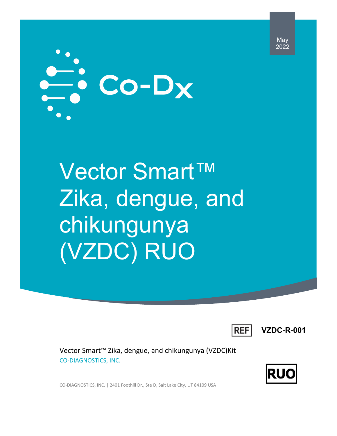May 2022



Vector Smart™ Zika, dengue, and chikungunya (VZDC) RUO



**VZDC-R-001**

Vector Smart™ Zika, dengue, and chikungunya (VZDC)Kit CO-DIAGNOSTICS, INC.



CO-DIAGNOSTICS, INC. | 2401 Foothill Dr., Ste D, Salt Lake City, UT 84109 USA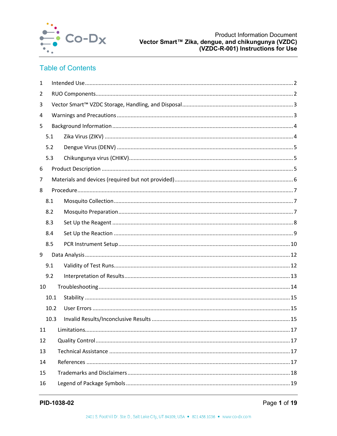

# **Table of Contents**

| $\mathbf{1}$ |      |  |  |  |  |
|--------------|------|--|--|--|--|
| 2            |      |  |  |  |  |
| 3            |      |  |  |  |  |
| 4            |      |  |  |  |  |
| 5            |      |  |  |  |  |
|              | 5.1  |  |  |  |  |
|              | 5.2  |  |  |  |  |
|              | 5.3  |  |  |  |  |
| 6            |      |  |  |  |  |
| 7            |      |  |  |  |  |
| 8            |      |  |  |  |  |
|              | 8.1  |  |  |  |  |
|              | 8.2  |  |  |  |  |
|              | 8.3  |  |  |  |  |
|              | 8.4  |  |  |  |  |
|              | 8.5  |  |  |  |  |
| 9            |      |  |  |  |  |
|              | 9.1  |  |  |  |  |
|              | 9.2  |  |  |  |  |
| 10           |      |  |  |  |  |
|              | 10.1 |  |  |  |  |
|              | 10.2 |  |  |  |  |
|              | 10.3 |  |  |  |  |
| 11           |      |  |  |  |  |
| 12           |      |  |  |  |  |
| 13           |      |  |  |  |  |
| 14           |      |  |  |  |  |
| 15           |      |  |  |  |  |
| 16           |      |  |  |  |  |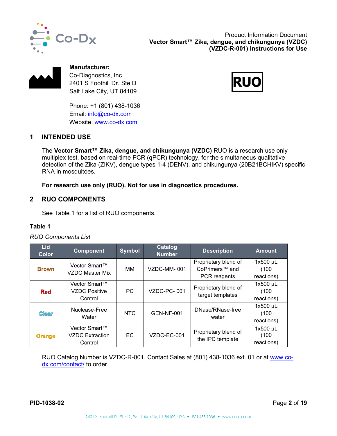



**Manufacturer:** Co-Diagnostics, Inc 2401 S Foothill Dr. Ste D Salt Lake City, UT 84109

Phone: +1 (801) 438-1036 Email: [info@co-dx.com](mailto:info@co-dx.com) Website: [www.co-dx.com](http://www.co-dx.com/)



# <span id="page-2-0"></span>**1 INTENDED USE**

The **Vector Smart™ Zika, dengue, and chikungunya (VZDC)** RUO is a research use only multiplex test, based on real-time PCR (qPCR) technology, for the simultaneous qualitative detection of the Zika (ZIKV), dengue types 1-4 (DENV), and chikungunya (20B21BCHIKV) specific RNA in mosquitoes.

**For research use only (RUO). Not for use in diagnostics procedures.** 

# <span id="page-2-1"></span>**2 RUO COMPONENTS**

See [Table 1](#page-2-2) for a list of RUO components.

## <span id="page-2-2"></span>**Table 1**

## *RUO Components List*

| <b>Lid</b><br>Color | <b>Component</b>                                   | <b>Symbol</b> | Catalog<br><b>Number</b> | <b>Description</b>                                                 | <b>Amount</b>                     |
|---------------------|----------------------------------------------------|---------------|--------------------------|--------------------------------------------------------------------|-----------------------------------|
| <b>Brown</b>        | Vector Smart™<br>VZDC Master Mix                   | MМ            | VZDC-MM-001              | Proprietary blend of<br>CoPrimers <sup>™</sup> and<br>PCR reagents | $1x500$ µL<br>(100)<br>reactions) |
| <b>Red</b>          | Vector Smart™<br><b>VZDC Positive</b><br>Control   | PC.           | VZDC-PC-001              | Proprietary blend of<br>target templates                           | $1x500$ µL<br>(100)<br>reactions) |
| <b>Clear</b>        | Nuclease-Free<br>Water                             | <b>NTC</b>    | <b>GEN-NF-001</b>        | DNase/RNase-free<br>water                                          | 1x500 µL<br>(100)<br>reactions)   |
| <b>Orange</b>       | Vector Smart™<br><b>VZDC</b> Extraction<br>Control | EC.           | VZDC-EC-001              | Proprietary blend of<br>the IPC template                           | 1x500 µL<br>(100)<br>reactions)   |

RUO Catalog Number is VZDC-R-001. Contact Sales at (801) 438-1036 ext. 01 or at [www.co](http://www.co-dx.com/contact/)[dx.com/contact/](http://www.co-dx.com/contact/) to order.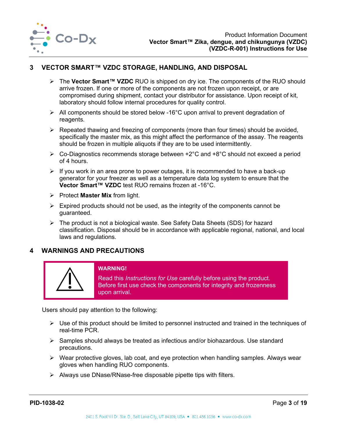

# <span id="page-3-0"></span>**3 VECTOR SMART™ VZDC STORAGE, HANDLING, AND DISPOSAL**

- The **Vector Smart™ VZDC** RUO is shipped on dry ice. The components of the RUO should arrive frozen. If one or more of the components are not frozen upon receipt, or are compromised during shipment, contact your distributor for assistance. Upon receipt of kit, laboratory should follow internal procedures for quality control.
- All components should be stored below -16°C upon arrival to prevent degradation of reagents.
- $\triangleright$  Repeated thawing and freezing of components (more than four times) should be avoided, specifically the master mix, as this might affect the performance of the assay. The reagents should be frozen in multiple aliquots if they are to be used intermittently.
- $\triangleright$  Co-Diagnostics recommends storage between +2°C and +8°C should not exceed a period of 4 hours.
- $\triangleright$  If you work in an area prone to power outages, it is recommended to have a back-up generator for your freezer as well as a temperature data log system to ensure that the **Vector Smart™ VZDC** test RUO remains frozen at -16°C.
- $\triangleright$  Protect **Master Mix** from light.
- $\triangleright$  Expired products should not be used, as the integrity of the components cannot be guaranteed.
- The product is not a biological waste. See Safety Data Sheets (SDS) for hazard classification. Disposal should be in accordance with applicable regional, national, and local laws and regulations.

## <span id="page-3-1"></span>**4 WARNINGS AND PRECAUTIONS**



#### **WARNING!**

Read this *Instructions for Use* carefully before using the product. Before first use check the components for integrity and frozenness upon arrival.

Users should pay attention to the following:

- $\triangleright$  Use of this product should be limited to personnel instructed and trained in the techniques of real-time PCR.
- $\triangleright$  Samples should always be treated as infectious and/or biohazardous. Use standard precautions.
- $\triangleright$  Wear protective gloves, lab coat, and eye protection when handling samples. Always wear gloves when handling RUO components.
- $\triangleright$  Always use DNase/RNase-free disposable pipette tips with filters.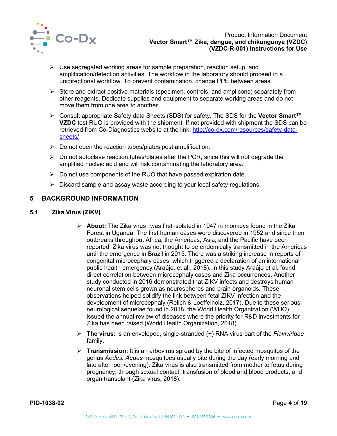

- $\triangleright$  Use segregated working areas for sample preparation, reaction setup, and amplification/detection activities. The workflow in the laboratory should proceed in a unidirectional workflow. To prevent contamination, change PPE between areas.
- $\triangleright$  Store and extract positive materials (specimen, controls, and amplicons) separately from other reagents. Dedicate supplies and equipment to separate working areas and do not move them from one area to another.
- Consult appropriate Safety data Sheets (SDS) for safety. The SDS for the **Vector Smart™ VZDC** test RUO is provided with the shipment. If not provided with shipment the SDS can be retrieved from Co-Diagnostics website at the link: http://co-dx.com/resources/safety-datasheets/
- $\triangleright$  Do not open the reaction tubes/plates post amplification.
- $\triangleright$  Do not autoclave reaction tubes/plates after the PCR, since this will not degrade the amplified nucleic acid and will risk contaminating the laboratory area.
- $\triangleright$  Do not use components of the RUO that have passed expiration date.
- $\triangleright$  Discard sample and assay waste according to your local safety regulations.

# <span id="page-4-0"></span>**5 BACKGROUND INFORMATION**

### <span id="page-4-1"></span>**5.1 Zika Virus (ZIKV)**

- **About:** The Zika virus was first isolated in 1947 in monkeys found in the Zika Forest in Uganda. The first human cases were discovered in 1952 and since then outbreaks throughout Africa, the Americas, Asia, and the Pacific have been reported. Zika virus was not thought to be endemically transmitted in the Americas until the emergence in Brazil in 2015. There was a striking increase in reports of congenital microcephaly cases, which triggered a declaration of an international public health emergency (Araújo, et al., 2018). In this study Araújo et al. found direct correlation between microcephaly cases and Zika occurrences. Another study conducted in 2016 demonstrated that ZIKV infects and destroys human neuronal stem cells grown as neurospheres and brain organoids. These observations helped solidify the link between fetal ZIKV infection and the development of microcephaly (Relich & Loeffelholz, 2017). Due to these serious neurological sequelae found in 2018, the World Health Organization (WHO) issued the annual review of diseases where the priority for R&D investments for Zika has been raised (World Health Organization, 2018).
- **The virus:** is an enveloped, single-stranded (+) RNA virus part of the *Flaviviridae*  family.
- **Transmission:** It is an arbovirus spread by the bite of infected mosquitos of the genus *Aedes. Aedes* mosquitoes usually bite during the day (early morning and late afternoon/evening). Zika virus is also transmitted from mother to fetus during pregnancy, through sexual contact, transfusion of blood and blood products, and organ transplant (Zika virus, 2018).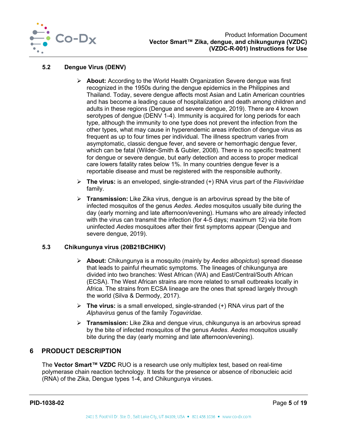

# <span id="page-5-0"></span>**5.2 Dengue Virus (DENV)**

- **About:** According to the World Health Organization Severe dengue was first recognized in the 1950s during the dengue epidemics in the Philippines and Thailand. Today, severe dengue affects most Asian and Latin American countries and has become a leading cause of hospitalization and death among children and adults in these regions (Dengue and severe dengue, 2019). There are 4 known serotypes of dengue (DENV 1-4). Immunity is acquired for long periods for each type, although the immunity to one type does not prevent the infection from the other types, what may cause in hyperendemic areas infection of dengue virus as frequent as up to four times per individual. The illness spectrum varies from asymptomatic, classic dengue fever, and severe or hemorrhagic dengue fever, which can be fatal (Wilder-Smith & Gubler, 2008). There is no specific treatment for dengue or severe dengue, but early detection and access to proper medical care lowers fatality rates below 1%. In many countries dengue fever is a reportable disease and must be registered with the responsible authority.
- **The virus:** is an enveloped, single-stranded (+) RNA virus part of the *Flaviviridae*  family.
- **Transmission:** Like Zika virus, dengue is an arbovirus spread by the bite of infected mosquitos of the genus *Aedes*. *Aedes* mosquitos usually bite during the day (early morning and late afternoon/evening). Humans who are already infected with the virus can transmit the infection (for 4-5 days; maximum 12) via bite from uninfected *Aedes* mosquitoes after their first symptoms appear (Dengue and severe dengue, 2019).

## <span id="page-5-1"></span>**5.3 Chikungunya virus (20B21BCHIKV)**

- **About:** Chikungunya is a mosquito (mainly by *Aedes albopictus*) spread disease that leads to painful rheumatic symptoms. The lineages of chikungunya are divided into two branches: West African (WA) and East/Central/South African (ECSA). The West African strains are more related to small outbreaks locally in Africa. The strains from ECSA lineage are the ones that spread largely through the world (Silva & Dermody, 2017).
- **The virus:** is a small enveloped, single-stranded (+) RNA virus part of the *Alphavirus* genus of the family *Togaviridae.*
- **Transmission:** Like Zika and dengue virus, chikungunya is an arbovirus spread by the bite of infected mosquitos of the genus *Aedes*. *Aedes* mosquitos usually bite during the day (early morning and late afternoon/evening).

# <span id="page-5-2"></span>**6 PRODUCT DESCRIPTION**

The **Vector Smart™ VZDC** RUO is a research use only multiplex test, based on real-time polymerase chain reaction technology. It tests for the presence or absence of ribonucleic acid (RNA) of the Zika, Dengue types 1-4, and Chikungunya viruses.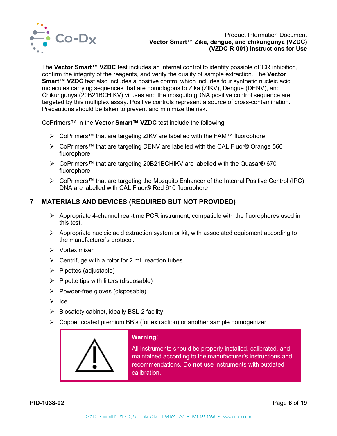

The **Vector Smart™ VZDC** test includes an internal control to identify possible qPCR inhibition, confirm the integrity of the reagents, and verify the quality of sample extraction. The **Vector Smart™ VZDC** test also includes a positive control which includes four synthetic nucleic acid molecules carrying sequences that are homologous to Zika (ZIKV), Dengue (DENV), and Chikungunya (20B21BCHIKV) viruses and the mosquito gDNA positive control sequence are targeted by this multiplex assay. Positive controls represent a source of cross-contamination. Precautions should be taken to prevent and minimize the risk.

CoPrimers™ in the **Vector Smart™ VZDC** test include the following:

- > CoPrimers™ that are targeting ZIKV are labelled with the FAM™ fluorophore
- CoPrimers™ that are targeting DENV are labelled with the CAL Fluor® Orange 560 fluorophore
- CoPrimers™ that are targeting 20B21BCHIKV are labelled with the Quasar® 670 fluorophore
- CoPrimers™ that are targeting the Mosquito Enhancer of the Internal Positive Control (IPC) DNA are labelled with CAL Fluor® Red 610 fluorophore

# <span id="page-6-0"></span>**7 MATERIALS AND DEVICES (REQUIRED BUT NOT PROVIDED)**

- $\triangleright$  Appropriate 4-channel real-time PCR instrument, compatible with the fluorophores used in this test.
- $\triangleright$  Appropriate nucleic acid extraction system or kit, with associated equipment according to the manufacturer's protocol.
- $\triangleright$  Vortex mixer
- $\triangleright$  Centrifuge with a rotor for 2 mL reaction tubes
- $\triangleright$  Pipettes (adjustable)
- $\triangleright$  Pipette tips with filters (disposable)
- $\triangleright$  Powder-free gloves (disposable)
- $\triangleright$  Ice
- $\triangleright$  Biosafety cabinet, ideally BSL-2 facility
- $\triangleright$  Copper coated premium BB's (for extraction) or another sample homogenizer



## **Warning!**

All instruments should be properly installed, calibrated, and maintained according to the manufacturer's instructions and recommendations. Do **not** use instruments with outdated calibration.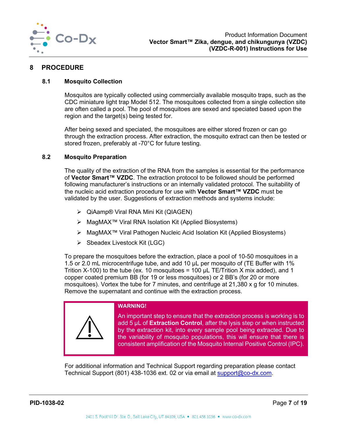

## <span id="page-7-0"></span>**8 PROCEDURE**

### <span id="page-7-1"></span>**8.1 Mosquito Collection**

Mosquitos are typically collected using commercially available mosquito traps, such as the CDC miniature light trap Model 512. The mosquitoes collected from a single collection site are often called a pool. The pool of mosquitoes are sexed and speciated based upon the region and the target(s) being tested for.

After being sexed and speciated, the mosquitoes are either stored frozen or can go through the extraction process. After extraction, the mosquito extract can then be tested or stored frozen, preferably at -70°C for future testing.

#### <span id="page-7-2"></span>**8.2 Mosquito Preparation**

The quality of the extraction of the RNA from the samples is essential for the performance of **Vector Smart™ VZDC**. The extraction protocol to be followed should be performed following manufacturer's instructions or an internally validated protocol. The suitability of the nucleic acid extraction procedure for use with **Vector Smart™ VZDC** must be validated by the user. Suggestions of extraction methods and systems include:

- QiAamp® Viral RNA Mini Kit (QIAGEN)
- MagMAX™ Viral RNA Isolation Kit (Applied Biosystems)
- MagMAX™ Viral Pathogen Nucleic Acid Isolation Kit (Applied Biosystems)
- $\triangleright$  Sbeadex Livestock Kit (LGC)

To prepare the mosquitoes before the extraction, place a pool of 10-50 mosquitoes in a 1.5 or 2.0 mL microcentrifuge tube, and add 10 µL per mosquito of (TE Buffer with 1% Trition X-100) to the tube (ex. 10 mosquitoes = 100  $\mu$ L TE/Trition X mix added), and 1 copper coated premium BB (for 19 or less mosquitoes) or 2 BB's (for 20 or more mosquitoes). Vortex the tube for 7 minutes, and centrifuge at 21,380 x g for 10 minutes. Remove the supernatant and continue with the extraction process.



For additional information and Technical Support regarding preparation please contact Technical Support (801) 438-1036 ext. 02 or via email at [support@co-dx.com.](mailto:%20support@co-dx.com)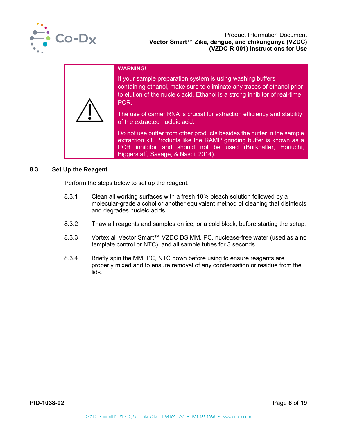

#### **WARNING!**

If your sample preparation system is using washing buffers containing ethanol, make sure to eliminate any traces of ethanol prior to elution of the nucleic acid. Ethanol is a strong inhibitor of real-time PCR.

The use of carrier RNA is crucial for extraction efficiency and stability of the extracted nucleic acid.

Do not use buffer from other products besides the buffer in the sample extraction kit. Products like the RAMP grinding buffer is known as a PCR inhibitor and should not be used (Burkhalter, Horiuchi, Biggerstaff, Savage, & Nasci, 2014).

#### <span id="page-8-0"></span>**8.3 Set Up the Reagent**

Perform the steps below to set up the reagent.

- 8.3.1 Clean all working surfaces with a fresh 10% bleach solution followed by a molecular-grade alcohol or another equivalent method of cleaning that disinfects and degrades nucleic acids.
- 8.3.2 Thaw all reagents and samples on ice, or a cold block, before starting the setup.
- 8.3.3 Vortex all Vector Smart™ VZDC DS MM, PC, nuclease-free water (used as a no template control or NTC), and all sample tubes for 3 seconds.
- 8.3.4 Briefly spin the MM, PC, NTC down before using to ensure reagents are properly mixed and to ensure removal of any condensation or residue from the lids.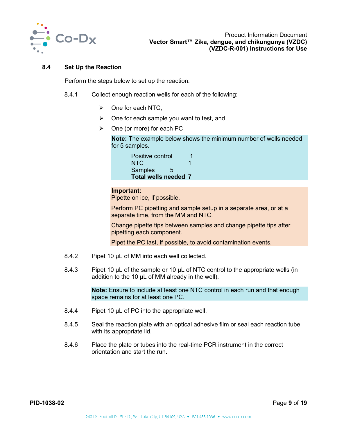

#### <span id="page-9-0"></span>**8.4 Set Up the Reaction**

Perform the steps below to set up the reaction.

- 8.4.1 Collect enough reaction wells for each of the following:
	- $\triangleright$  One for each NTC,
	- $\triangleright$  One for each sample you want to test, and
	- $\triangleright$  One (or more) for each PC

**Note:** The example below shows the minimum number of wells needed for 5 samples.

| Positive control     |  |
|----------------------|--|
| NTC.                 |  |
| <b>Samples</b><br>5  |  |
| Total wells needed 7 |  |

### **Important:**

Pipette on ice, if possible.

Perform PC pipetting and sample setup in a separate area, or at a separate time, from the MM and NTC.

Change pipette tips between samples and change pipette tips after pipetting each component.

Pipet the PC last, if possible, to avoid contamination events.

- 8.4.2 Pipet 10 µL of MM into each well collected.
- 8.4.3 Pipet 10 µL of the sample or 10 µL of NTC control to the appropriate wells (in addition to the 10 µL of MM already in the well).

**Note:** Ensure to include at least one NTC control in each run and that enough space remains for at least one PC.

- 8.4.4 Pipet 10 µL of PC into the appropriate well.
- 8.4.5 Seal the reaction plate with an optical adhesive film or seal each reaction tube with its appropriate lid.
- <span id="page-9-1"></span>8.4.6 Place the plate or tubes into the real-time PCR instrument in the correct orientation and start the run.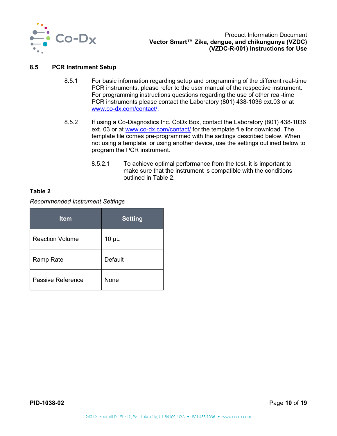

#### **8.5 PCR Instrument Setup**

- 8.5.1 For basic information regarding setup and programming of the different real-time PCR instruments, please refer to the user manual of the respective instrument. For programming instructions questions regarding the use of other real-time PCR instruments please contact the Laboratory (801) 438-1036 ext.03 or at [www.co-dx.com/contact/.](http://www.co-dx.com/contact/)
- 8.5.2 If using a Co-Diagnostics Inc. CoDx Box, contact the Laboratory (801) 438-1036 ext. 03 or at [www.co-dx.com/contact/](http://www.co-dx.com/contact/) for the template file for download. The template file comes pre-programmed with the settings described below. When not using a template, or using another device, use the settings outlined below to program the PCR instrument.
	- 8.5.2.1 To achieve optimal performance from the test, it is important to make sure that the instrument is compatible with the conditions outlined in [Table 2.](#page-10-0)

### <span id="page-10-0"></span>**Table 2**

#### *Recommended Instrument Settings*

| <b>Item</b>            | <b>Setting</b> |
|------------------------|----------------|
| <b>Reaction Volume</b> | $10 \mu L$     |
| <b>Ramp Rate</b>       | Default        |
| Passive Reference      | None           |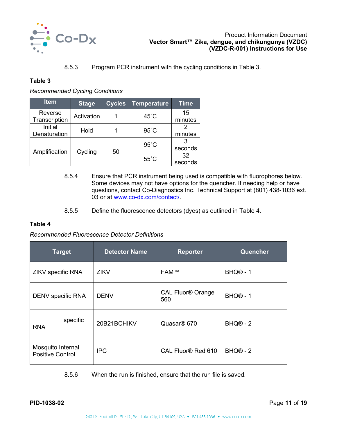

## 8.5.3 Program PCR instrument with the cycling conditions in [Table 3.](#page-11-0)

## <span id="page-11-0"></span>**Table 3**

# *Recommended Cycling Conditions*

| <b>Item</b>              | <b>Stage</b> | <b>Cycles</b> | <b>Temperature</b> | <b>Time</b>   |
|--------------------------|--------------|---------------|--------------------|---------------|
| Reverse<br>Transcription | Activation   |               | $45^{\circ}$ C     | 15<br>minutes |
| Initial<br>Denaturation  | Hold         |               | $95^{\circ}$ C     | minutes       |
|                          |              |               | $95^{\circ}$ C     | seconds       |
| Amplification            | Cycling      | 50            | $55^{\circ}$ C     | 32<br>seconds |

- 8.5.4 Ensure that PCR instrument being used is compatible with fluorophores below. Some devices may not have options for the quencher. If needing help or have questions, contact Co-Diagnostics Inc. Technical Support at (801) 438-1036 ext. 03 or at [www.co-dx.com/contact/.](http://www.co-dx.com/contact/)
- 8.5.5 Define the fluorescence detectors (dyes) as outlined in [Table 4.](#page-11-1)

## <span id="page-11-1"></span>**Table 4**

#### *Recommended Fluorescence Detector Definitions*

| <b>Target</b>                                | <b>Detector Name</b> | <b>Reporter</b>                            | Quencher             |
|----------------------------------------------|----------------------|--------------------------------------------|----------------------|
| ZIKV specific RNA                            | <b>ZIKV</b>          | <b>FAM™</b>                                | BHQ <sup>®</sup> - 1 |
| DENV specific RNA                            | <b>DENV</b>          | <b>CAL Fluor<sup>®</sup> Orange</b><br>560 | BHQ <sup>®</sup> - 1 |
| specific<br><b>RNA</b>                       | 20B21BCHIKV          | Quasar <sup>®</sup> 670                    | $BHQ@ - 2$           |
| Mosquito Internal<br><b>Positive Control</b> | <b>IPC</b>           | CAL Fluor <sup>®</sup> Red 610             | BHQ <sup>®</sup> - 2 |

8.5.6 When the run is finished, ensure that the run file is saved.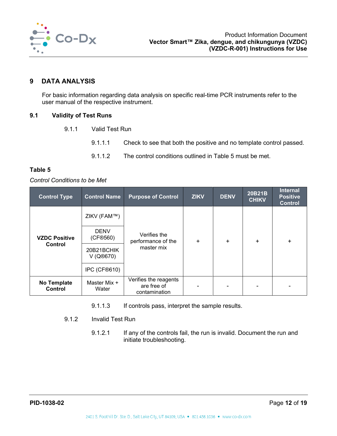

# <span id="page-12-0"></span>**9 DATA ANALYSIS**

For basic information regarding data analysis on specific real-time PCR instruments refer to the user manual of the respective instrument.

### <span id="page-12-1"></span>**9.1 Validity of Test Runs**

- 9.1.1 Valid Test Run
	- 9.1.1.1 Check to see that both the positive and no template control passed.
	- 9.1.1.2 The control conditions outlined in [Table 5](#page-12-2) must be met.

#### <span id="page-12-2"></span>**Table 5**

#### *Control Conditions to be Met*

| <b>Control Name</b><br><b>Control Type</b> |                         | <b>Purpose of Control</b>                             | <b>ZIKV</b> | <b>DENV</b> | 20B21B<br><b>CHIKV</b> | <b>Internal</b><br><b>Positive</b><br><b>Control</b> |  |
|--------------------------------------------|-------------------------|-------------------------------------------------------|-------------|-------------|------------------------|------------------------------------------------------|--|
|                                            | ZIKV (FAM™)             |                                                       | ÷.          | ÷.          | ÷.                     |                                                      |  |
| <b>VZDC Positive</b>                       | <b>DENV</b><br>(CF®560) | Verifies the<br>performance of the                    |             |             |                        | $+$                                                  |  |
| Control                                    | 20B21BCHIK<br>V (Q®670) | master mix                                            |             |             |                        |                                                      |  |
|                                            | IPC (CF®610)            |                                                       |             |             |                        |                                                      |  |
| No Template<br>Control                     | Master Mix +<br>Water   | Verifies the reagents<br>are free of<br>contamination |             |             |                        |                                                      |  |

- 9.1.1.3 If controls pass, interpret the sample results.
- 9.1.2 Invalid Test Run
	- 9.1.2.1 If any of the controls fail, the run is invalid. Document the run and initiate troubleshooting.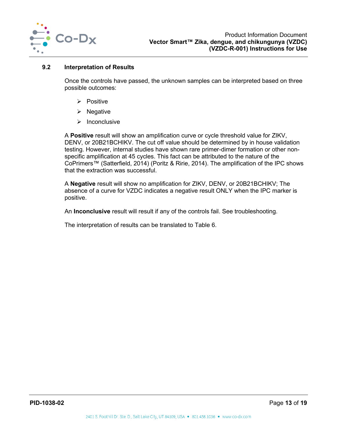

### <span id="page-13-0"></span>**9.2 Interpretation of Results**

Once the controls have passed, the unknown samples can be interpreted based on three possible outcomes:

- $\triangleright$  Positive
- $\triangleright$  Negative
- $\triangleright$  Inconclusive

A **Positive** result will show an amplification curve or cycle threshold value for ZIKV, DENV, or 20B21BCHIKV. The cut off value should be determined by in house validation testing. However, internal studies have shown rare primer-dimer formation or other nonspecific amplification at 45 cycles. This fact can be attributed to the nature of the CoPrimers™ (Satterfield, 2014) (Poritz & Ririe, 2014). The amplification of the IPC shows that the extraction was successful.

A **Negative** result will show no amplification for ZIKV, DENV, or 20B21BCHIKV; The absence of a curve for VZDC indicates a negative result ONLY when the IPC marker is positive.

An **Inconclusive** result will result if any of the controls fail. See troubleshooting.

The interpretation of results can be translated to [Table 6.](#page-14-1)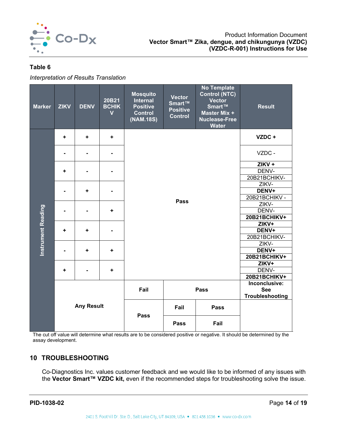

## <span id="page-14-1"></span>**Table 6**

*Interpretation of Results Translation*

| <b>Marker</b>             | <b>ZIKV</b>       | <b>DENV</b> | 20B21<br><b>BCHIK</b><br>$\overline{\mathsf{v}}$ | <b>Mosquito</b><br><b>Internal</b><br><b>Positive</b><br><b>Control</b><br>(NAM.18S) | <b>Vector</b><br>Smart™<br><b>Positive</b><br><b>Control</b> | <b>No Template</b><br>Control (NTC)<br><b>Vector</b><br>Smart™<br>Master Mix +<br><b>Nuclease-Free</b><br><b>Water</b> | <b>Result</b>         |
|---------------------------|-------------------|-------------|--------------------------------------------------|--------------------------------------------------------------------------------------|--------------------------------------------------------------|------------------------------------------------------------------------------------------------------------------------|-----------------------|
|                           | ÷                 | ٠           | ٠                                                |                                                                                      |                                                              |                                                                                                                        | VZDC +                |
|                           |                   |             |                                                  |                                                                                      |                                                              |                                                                                                                        | VZDC -                |
|                           |                   |             | $\blacksquare$                                   |                                                                                      |                                                              |                                                                                                                        | $ZIKV +$              |
|                           | ÷                 |             |                                                  |                                                                                      |                                                              |                                                                                                                        | DENV-                 |
|                           |                   |             |                                                  |                                                                                      |                                                              |                                                                                                                        |                       |
|                           | ٠                 |             | $\blacksquare$                                   |                                                                                      |                                                              |                                                                                                                        | 20B21BCHIKV-<br>ZIKV- |
|                           |                   |             |                                                  |                                                                                      |                                                              |                                                                                                                        | DENV+                 |
|                           |                   |             |                                                  |                                                                                      |                                                              | 20B21BCHIKV -                                                                                                          |                       |
|                           |                   |             |                                                  |                                                                                      | <b>Pass</b>                                                  |                                                                                                                        |                       |
|                           |                   | ٠           |                                                  |                                                                                      |                                                              | ZIKV-<br>DENV-                                                                                                         |                       |
|                           |                   |             |                                                  |                                                                                      |                                                              | 20B21BCHIKV+                                                                                                           |                       |
|                           | ÷<br>٠            |             |                                                  |                                                                                      |                                                              | ZIKV+                                                                                                                  |                       |
|                           |                   |             | $\blacksquare$                                   |                                                                                      |                                                              | DENV+                                                                                                                  |                       |
| <b>Instrument Reading</b> |                   |             |                                                  |                                                                                      |                                                              |                                                                                                                        | 20B21BCHIKV-          |
|                           |                   | ٠           |                                                  |                                                                                      |                                                              |                                                                                                                        | ZIKV-                 |
|                           |                   |             | ÷                                                |                                                                                      |                                                              |                                                                                                                        | DENV+                 |
|                           |                   |             |                                                  |                                                                                      |                                                              |                                                                                                                        | 20B21BCHIKV+          |
|                           |                   |             |                                                  |                                                                                      |                                                              |                                                                                                                        |                       |
|                           | ÷                 |             | ÷                                                |                                                                                      |                                                              |                                                                                                                        | DENV-                 |
|                           |                   |             |                                                  |                                                                                      |                                                              |                                                                                                                        |                       |
|                           |                   |             |                                                  |                                                                                      |                                                              |                                                                                                                        | Inconclusive:         |
|                           |                   |             |                                                  | Fail                                                                                 |                                                              | <b>Pass</b>                                                                                                            | <b>See</b>            |
|                           |                   |             |                                                  |                                                                                      |                                                              |                                                                                                                        | Troubleshooting       |
|                           | <b>Any Result</b> |             | <b>Pass</b>                                      | Fail                                                                                 | <b>Pass</b>                                                  |                                                                                                                        |                       |
|                           |                   |             | <b>Pass</b>                                      | Fail                                                                                 |                                                              |                                                                                                                        |                       |

The cut off value will determine what results are to be considered positive or negative. It should be determined by the assay development.

# <span id="page-14-0"></span>**10 TROUBLESHOOTING**

Co-Diagnostics Inc. values customer feedback and we would like to be informed of any issues with the **Vector Smart™ VZDC kit,** even if the recommended steps for troubleshooting solve the issue.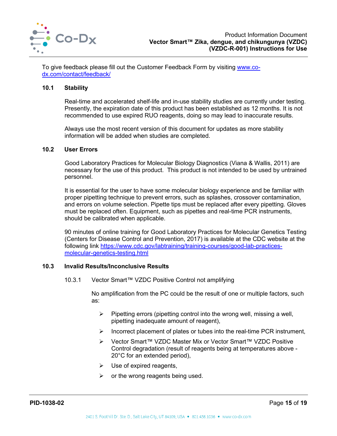

To give feedback please fill out the Customer Feedback Form by visiting [www.co](http://www.co-dx.com/contact/feedback/)[dx.com/contact/feedback/](http://www.co-dx.com/contact/feedback/)

#### <span id="page-15-0"></span>**10.1 Stability**

Real-time and accelerated shelf-life and in-use stability studies are currently under testing. Presently, the expiration date of this product has been established as 12 months. It is not recommended to use expired RUO reagents, doing so may lead to inaccurate results.

Always use the most recent version of this document for updates as more stability information will be added when studies are completed.

#### <span id="page-15-1"></span>**10.2 User Errors**

Good Laboratory Practices for Molecular Biology Diagnostics (Viana & Wallis, 2011) are necessary for the use of this product. This product is not intended to be used by untrained personnel.

It is essential for the user to have some molecular biology experience and be familiar with proper pipetting technique to prevent errors, such as splashes, crossover contamination, and errors on volume selection. Pipette tips must be replaced after every pipetting. Gloves must be replaced often. Equipment, such as pipettes and real-time PCR instruments, should be calibrated when applicable.

90 minutes of online training for Good Laboratory Practices for Molecular Genetics Testing (Centers for Disease Control and Prevention, 2017) is available at the CDC website at the following link [https://www.cdc.gov/labtraining/training-courses/good-lab-practices](https://www.cdc.gov/labtraining/training-courses/good-lab-practices-molecular-genetics-testing.html)[molecular-genetics-testing.html](https://www.cdc.gov/labtraining/training-courses/good-lab-practices-molecular-genetics-testing.html)

#### <span id="page-15-2"></span>**10.3 Invalid Results/Inconclusive Results**

10.3.1 Vector Smart™ VZDC Positive Control not amplifying

No amplification from the PC could be the result of one or multiple factors, such as:

- $\triangleright$  Pipetting errors (pipetting control into the wrong well, missing a well, pipetting inadequate amount of reagent),
- $\triangleright$  Incorrect placement of plates or tubes into the real-time PCR instrument,
- Vector Smart™ VZDC Master Mix or Vector Smart™ VZDC Positive Control degradation (result of reagents being at temperatures above - 20°C for an extended period),
- $\triangleright$  Use of expired reagents,
- $\triangleright$  or the wrong reagents being used.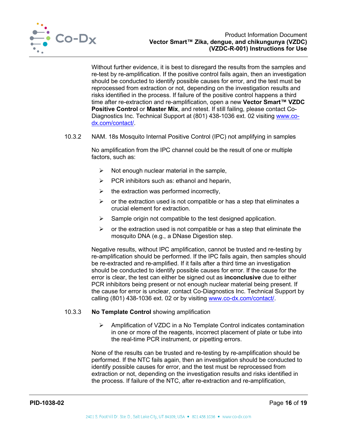

Without further evidence, it is best to disregard the results from the samples and re-test by re-amplification. If the positive control fails again, then an investigation should be conducted to identify possible causes for error, and the test must be reprocessed from extraction or not, depending on the investigation results and risks identified in the process. If failure of the positive control happens a third time after re-extraction and re-amplification, open a new **Vector Smart™ VZDC Positive Control** or **Master Mix**, and retest. If still failing, please contact Co-Diagnostics Inc. Technical Support at (801) 438-1036 ext. 02 visiting [www.co](http://www.co-dx.com/contact/)[dx.com/contact/.](http://www.co-dx.com/contact/)

10.3.2 NAM. 18s Mosquito Internal Positive Control (IPC) not amplifying in samples

No amplification from the IPC channel could be the result of one or multiple factors, such as:

- $\triangleright$  Not enough nuclear material in the sample,
- $\triangleright$  PCR inhibitors such as: ethanol and heparin,
- $\triangleright$  the extraction was performed incorrectly,
- $\triangleright$  or the extraction used is not compatible or has a step that eliminates a crucial element for extraction.
- $\triangleright$  Sample origin not compatible to the test designed application.
- $\triangleright$  or the extraction used is not compatible or has a step that eliminate the mosquito DNA (e.g., a DNase Digestion step.

Negative results, without IPC amplification, cannot be trusted and re-testing by re-amplification should be performed. If the IPC fails again, then samples should be re-extracted and re-amplified. If it fails after a third time an investigation should be conducted to identify possible causes for error. If the cause for the error is clear, the test can either be signed out as **inconclusive** due to either PCR inhibitors being present or not enough nuclear material being present. If the cause for error is unclear, contact Co-Diagnostics Inc. Technical Support by calling (801) 438-1036 ext. 02 or by visiting [www.co-dx.com/contact/.](http://www.co-dx.com/contact/)

## 10.3.3 **No Template Control** showing amplification

 $\triangleright$  Amplification of VZDC in a No Template Control indicates contamination in one or more of the reagents, incorrect placement of plate or tube into the real-time PCR instrument, or pipetting errors.

None of the results can be trusted and re-testing by re-amplification should be performed. If the NTC fails again, then an investigation should be conducted to identify possible causes for error, and the test must be reprocessed from extraction or not, depending on the investigation results and risks identified in the process. If failure of the NTC, after re-extraction and re-amplification,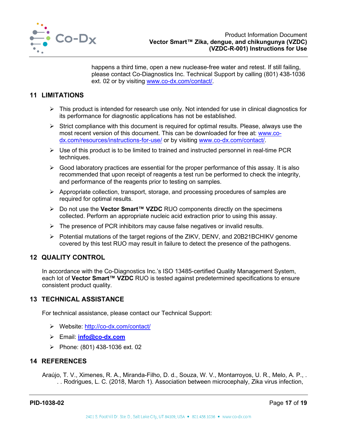

happens a third time, open a new nuclease-free water and retest. If still failing, please contact Co-Diagnostics Inc. Technical Support by calling (801) 438-1036 ext. 02 or by visiting [www.co-dx.com/contact/.](http://www.co-dx.com/contact/)

# <span id="page-17-0"></span>**11 LIMITATIONS**

- $\triangleright$  This product is intended for research use only. Not intended for use in clinical diagnostics for its performance for diagnostic applications has not be established.
- $\triangleright$  Strict compliance with this document is required for optimal results. Please, always use the most recent version of this document. This can be downloaded for free at: [www.co](http://www.co-dx.com/resources/instructions-for-use/)[dx.com/resources/instructions-for-use/](http://www.co-dx.com/resources/instructions-for-use/) or by visiting [www.co-dx.com/contact/.](http://www.co-dx.com/contact/)
- $\triangleright$  Use of this product is to be limited to trained and instructed personnel in real-time PCR techniques.
- $\triangleright$  Good laboratory practices are essential for the proper performance of this assay. It is also recommended that upon receipt of reagents a test run be performed to check the integrity, and performance of the reagents prior to testing on samples.
- $\triangleright$  Appropriate collection, transport, storage, and processing procedures of samples are required for optimal results.
- Do not use the **Vector Smart™ VZDC** RUO components directly on the specimens collected. Perform an appropriate nucleic acid extraction prior to using this assay.
- $\triangleright$  The presence of PCR inhibitors may cause false negatives or invalid results.
- $\triangleright$  Potential mutations of the target regions of the ZIKV, DENV, and 20B21BCHIKV genome covered by this test RUO may result in failure to detect the presence of the pathogens.

# <span id="page-17-1"></span>**12 QUALITY CONTROL**

In accordance with the Co-Diagnostics Inc.'s ISO 13485-certified Quality Management System, each lot of **Vector Smart™ VZDC** RUO is tested against predetermined specifications to ensure consistent product quality.

## <span id="page-17-2"></span>**13 TECHNICAL ASSISTANCE**

For technical assistance, please contact our Technical Support:

- Website:<http://co-dx.com/contact/>
- Email: **[info@co-dx.com](mailto:info@co-dx.com)**
- Phone:  $(801)$  438-1036 ext. 02

# <span id="page-17-3"></span>**14 REFERENCES**

Araújo, T. V., Ximenes, R. A., Miranda-Filho, D. d., Souza, W. V., Montarroyos, U. R., Melo, A. P., . . . Rodrigues, L. C. (2018, March 1). Association between microcephaly, Zika virus infection,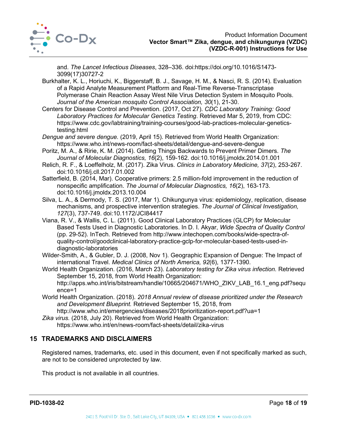

and. *The Lancet Infectious Diseases*, 328–336. doi:https://doi.org/10.1016/S1473- 3099(17)30727-2

- Burkhalter, K. L., Horiuchi, K., Biggerstaff, B. J., Savage, H. M., & Nasci, R. S. (2014). Evaluation of a Rapid Analyte Measurement Platform and Real-Time Reverse-Transcriptase Polymerase Chain Reaction Assay West Nile Virus Detection System in Mosquito Pools. *Journal of the American mosquito Control Association, 30*(1), 21-30.
- Centers for Disease Control and Prevention. (2017, Oct 27). *CDC Laboratory Training: Good Laboratory Practices for Molecular Genetics Testing*. Retrieved Mar 5, 2019, from CDC: https://www.cdc.gov/labtraining/training-courses/good-lab-practices-molecular-geneticstesting.html
- *Dengue and severe dengue.* (2019, April 15). Retrieved from World Health Organization: https://www.who.int/news-room/fact-sheets/detail/dengue-and-severe-dengue
- Poritz, M. A., & Ririe, K. M. (2014). Getting Things Backwards to Prevent Primer Dimers. *The Journal of Molecular Diagnostics, 16*(2), 159-162. doi:10.1016/j.jmoldx.2014.01.001
- Relich, R. F., & Loeffelholz, M. (2017). Zika Virus. *Clinics in Laboratory Medicine, 37*(2), 253-267. doi:10.1016/j.cll.2017.01.002
- Satterfield, B. (2014, Mar). Cooperative primers: 2.5 million-fold improvement in the reduction of nonspecific amplification. *The Journal of Molecular Diagnostics, 16*(2), 163-173. doi:10.1016/j.jmoldx.2013.10.004
- Silva, L. A., & Dermody, T. S. (2017, Mar 1). Chikungunya virus: epidemiology, replication, disease mechanisms, and prospective intervention strategies. *The Journal of Clinical Investigation, 127*(3), 737-749. doi:10.1172/JCI84417
- Viana, R. V., & Wallis, C. L. (2011). Good Clinical Laboratory Practices (GLCP) for Molecular Based Tests Used in Diagnostic Laboratories. In D. I. Akyar, *Wide Spectra of Quality Control* (pp. 29-52). InTech. Retrieved from http://www.intechopen.com/books/wide-spectra-ofquality-control/goodclinical-laboratory-practice-gclp-for-molecular-based-tests-used-indiagnostic-laboratories
- Wilder-Smith, A., & Gubler, D. J. (2008, Nov 1). Geographic Expansion of Dengue: The Impact of international Travel. *Medical Clinics of North America, 92*(6), 1377-1390.
- World Health Organization. (2016, March 23). *Laboratory testing for Zika virus infection.* Retrieved September 15, 2018, from World Health Organization: http://apps.who.int/iris/bitstream/handle/10665/204671/WHO\_ZIKV\_LAB\_16.1\_eng.pdf?sequ ence=1
- World Health Organization. (2018). *2018 Annual review of disease prioritized under the Research and Development Blueprint.* Retrieved September 15, 2018, from http://www.who.int/emergencies/diseases/2018prioritization-report.pdf?ua=1
- *Zika virus.* (2018, July 20). Retrieved from World Health Organization: https://www.who.int/en/news-room/fact-sheets/detail/zika-virus

# <span id="page-18-0"></span>**15 TRADEMARKS AND DISCLAIMERS**

Registered names, trademarks, etc. used in this document, even if not specifically marked as such, are not to be considered unprotected by law.

This product is not available in all countries.